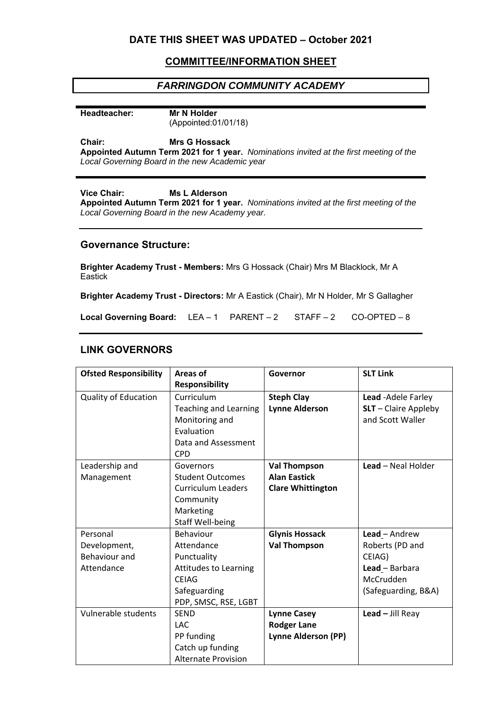# **DATE THIS SHEET WAS UPDATED – October 2021**

# **COMMITTEE/INFORMATION SHEET**

# *FARRINGDON COMMUNITY ACADEMY*

#### **Headteacher: Mr N Holder**

**Chair:** 

(Appointed:01/01/18)

**Mrs G Hossack** 

**Appointed Autumn Term 2021 for 1 year.** *Nominations invited at the first meeting of the Local Governing Board in the new Academic year* 

## **Vice Chair: Ms L Alderson**

**Appointed Autumn Term 2021 for 1 year.** *Nominations invited at the first meeting of the Local Governing Board in the new Academy year.* 

## **Governance Structure:**

**Brighter Academy Trust - Members:** Mrs G Hossack (Chair) Mrs M Blacklock, Mr A **Eastick** 

**Brighter Academy Trust - Directors:** Mr A Eastick (Chair), Mr N Holder, Mr S Gallagher

**Local Governing Board:** LEA – 1 PARENT – 2 STAFF – 2 CO-OPTED – 8

# **LINK GOVERNORS**

| <b>Ofsted Responsibility</b>                            | <b>Areas of</b>                                                                                                         | Governor                                                               | <b>SLT Link</b>                                                                                  |
|---------------------------------------------------------|-------------------------------------------------------------------------------------------------------------------------|------------------------------------------------------------------------|--------------------------------------------------------------------------------------------------|
|                                                         | <b>Responsibility</b>                                                                                                   |                                                                        |                                                                                                  |
| <b>Quality of Education</b>                             | Curriculum<br><b>Teaching and Learning</b><br>Monitoring and<br>Evaluation<br>Data and Assessment<br><b>CPD</b>         | <b>Steph Clay</b><br><b>Lynne Alderson</b>                             | Lead - Adele Farley<br>$SLT -$ Claire Appleby<br>and Scott Waller                                |
| Leadership and<br>Management                            | Governors<br><b>Student Outcomes</b><br><b>Curriculum Leaders</b><br>Community<br>Marketing<br>Staff Well-being         | <b>Val Thompson</b><br><b>Alan Eastick</b><br><b>Clare Whittington</b> | Lead - Neal Holder                                                                               |
| Personal<br>Development,<br>Behaviour and<br>Attendance | Behaviour<br>Attendance<br>Punctuality<br>Attitudes to Learning<br><b>CEIAG</b><br>Safeguarding<br>PDP, SMSC, RSE, LGBT | <b>Glynis Hossack</b><br><b>Val Thompson</b>                           | Lead - Andrew<br>Roberts (PD and<br>CEIAG)<br>Lead - Barbara<br>McCrudden<br>(Safeguarding, B&A) |
| Vulnerable students                                     | <b>SEND</b><br><b>LAC</b><br>PP funding<br>Catch up funding<br><b>Alternate Provision</b>                               | <b>Lynne Casey</b><br><b>Rodger Lane</b><br>Lynne Alderson (PP)        | Lead $-$ Jill Reay                                                                               |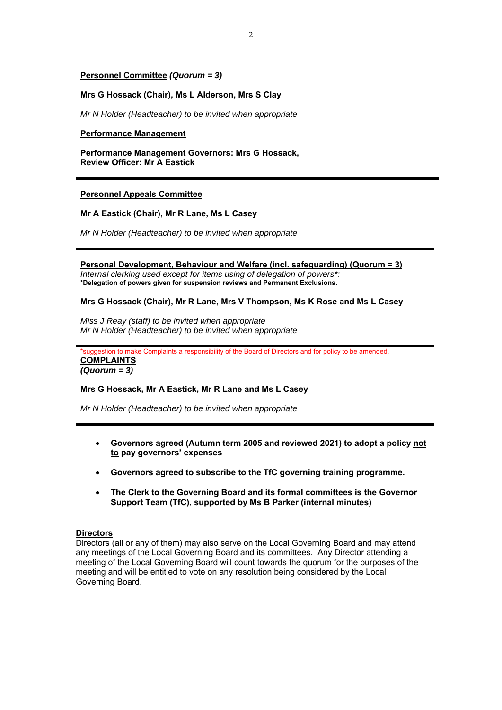## **Personnel Committee** *(Quorum = 3)*

## **Mrs G Hossack (Chair), Ms L Alderson, Mrs S Clay**

*Mr N Holder (Headteacher) to be invited when appropriate* 

## **Performance Management**

**Performance Management Governors: Mrs G Hossack, Review Officer: Mr A Eastick** 

## **Personnel Appeals Committee**

## **Mr A Eastick (Chair), Mr R Lane, Ms L Casey**

*Mr N Holder (Headteacher) to be invited when appropriate* 

## **Personal Development, Behaviour and Welfare (incl. safeguarding) (Quorum = 3)**

*Internal clerking used except for items using of delegation of powers\*:*  **\*Delegation of powers given for suspension reviews and Permanent Exclusions.** 

## **Mrs G Hossack (Chair), Mr R Lane, Mrs V Thompson, Ms K Rose and Ms L Casey**

*Miss J Reay (staff) to be invited when appropriate Mr N Holder (Headteacher) to be invited when appropriate* 

\*suggestion to make Complaints a responsibility of the Board of Directors and for policy to be amended. **COMPLAINTS**  *(Quorum = 3)*

### **Mrs G Hossack, Mr A Eastick, Mr R Lane and Ms L Casey**

*Mr N Holder (Headteacher) to be invited when appropriate* 

- **Governors agreed (Autumn term 2005 and reviewed 2021) to adopt a policy not to pay governors' expenses**
- **Governors agreed to subscribe to the TfC governing training programme.**
- **The Clerk to the Governing Board and its formal committees is the Governor Support Team (TfC), supported by Ms B Parker (internal minutes)**

## **Directors**

Directors (all or any of them) may also serve on the Local Governing Board and may attend any meetings of the Local Governing Board and its committees. Any Director attending a meeting of the Local Governing Board will count towards the quorum for the purposes of the meeting and will be entitled to vote on any resolution being considered by the Local Governing Board.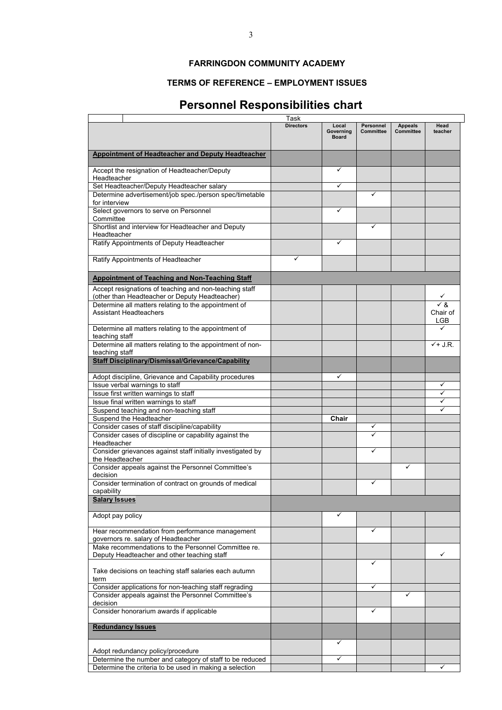# **FARRINGDON COMMUNITY ACADEMY**

# **TERMS OF REFERENCE – EMPLOYMENT ISSUES**

# **Personnel Responsibilities chart**

|                                                                       | Task             |              |           |                |                |
|-----------------------------------------------------------------------|------------------|--------------|-----------|----------------|----------------|
|                                                                       | <b>Directors</b> | Local        | Personnel | <b>Appeals</b> | Head           |
|                                                                       |                  | Governing    | Committee | Committee      | teacher        |
|                                                                       |                  | <b>Board</b> |           |                |                |
| <b>Appointment of Headteacher and Deputy Headteacher</b>              |                  |              |           |                |                |
|                                                                       |                  |              |           |                |                |
| Accept the resignation of Headteacher/Deputy                          |                  | ✓            |           |                |                |
| Headteacher                                                           |                  |              |           |                |                |
| Set Headteacher/Deputy Headteacher salary                             |                  | ✓            |           |                |                |
| Determine advertisement/job spec./person spec/timetable               |                  |              | ✓         |                |                |
| for interview                                                         |                  |              |           |                |                |
| Select governors to serve on Personnel                                |                  | ✓            |           |                |                |
| Committee                                                             |                  |              |           |                |                |
| Shortlist and interview for Headteacher and Deputy                    |                  |              | ✓         |                |                |
| Headteacher                                                           |                  | ✓            |           |                |                |
| Ratify Appointments of Deputy Headteacher                             |                  |              |           |                |                |
| Ratify Appointments of Headteacher                                    | ✓                |              |           |                |                |
|                                                                       |                  |              |           |                |                |
| <b>Appointment of Teaching and Non-Teaching Staff</b>                 |                  |              |           |                |                |
| Accept resignations of teaching and non-teaching staff                |                  |              |           |                |                |
| (other than Headteacher or Deputy Headteacher)                        |                  |              |           |                |                |
| Determine all matters relating to the appointment of                  |                  |              |           |                | $\sqrt{8}$     |
| <b>Assistant Headteachers</b>                                         |                  |              |           |                | Chair of       |
|                                                                       |                  |              |           |                | LGB            |
| Determine all matters relating to the appointment of                  |                  |              |           |                |                |
| teaching staff                                                        |                  |              |           |                |                |
| Determine all matters relating to the appointment of non-             |                  |              |           |                | $\sqrt{+J.R.}$ |
| teaching staff                                                        |                  |              |           |                |                |
| <b>Staff Disciplinary/Dismissal/Grievance/Capability</b>              |                  |              |           |                |                |
| Adopt discipline, Grievance and Capability procedures                 |                  | ✓            |           |                |                |
| Issue verbal warnings to staff                                        |                  |              |           |                | ✓              |
| Issue first written warnings to staff                                 |                  |              |           |                | ✓              |
| Issue final written warnings to staff                                 |                  |              |           |                | ✓              |
| Suspend teaching and non-teaching staff                               |                  |              |           |                |                |
| Suspend the Headteacher                                               |                  | Chair        |           |                |                |
| Consider cases of staff discipline/capability                         |                  |              | ✓         |                |                |
| Consider cases of discipline or capability against the                |                  |              | ✓         |                |                |
| Headteacher                                                           |                  |              |           |                |                |
| Consider grievances against staff initially investigated by           |                  |              | ✓         |                |                |
| the Headteacher<br>Consider appeals against the Personnel Committee's |                  |              |           | ✓              |                |
| decision                                                              |                  |              |           |                |                |
| Consider termination of contract on grounds of medical                |                  |              | ✓         |                |                |
| capability                                                            |                  |              |           |                |                |
| <b>Salary Issues</b>                                                  |                  |              |           |                |                |
|                                                                       |                  |              |           |                |                |
| Adopt pay policy                                                      |                  | ✓            |           |                |                |
| Hear recommendation from performance management                       |                  |              | ✓         |                |                |
| governors re. salary of Headteacher                                   |                  |              |           |                |                |
| Make recommendations to the Personnel Committee re.                   |                  |              |           |                |                |
| Deputy Headteacher and other teaching staff                           |                  |              |           |                | ✓              |
|                                                                       |                  |              | ✓         |                |                |
| Take decisions on teaching staff salaries each autumn                 |                  |              |           |                |                |
| term                                                                  |                  |              |           |                |                |
| Consider applications for non-teaching staff regrading                |                  |              | ✓         | ✓              |                |
| Consider appeals against the Personnel Committee's<br>decision        |                  |              |           |                |                |
| Consider honorarium awards if applicable                              |                  |              | ✓         |                |                |
|                                                                       |                  |              |           |                |                |
| <b>Redundancy Issues</b>                                              |                  |              |           |                |                |
|                                                                       |                  |              |           |                |                |
|                                                                       |                  | ✓            |           |                |                |
| Adopt redundancy policy/procedure                                     |                  |              |           |                |                |
| Determine the number and category of staff to be reduced              |                  | ✓            |           |                | ✓              |
| Determine the criteria to be used in making a selection               |                  |              |           |                |                |